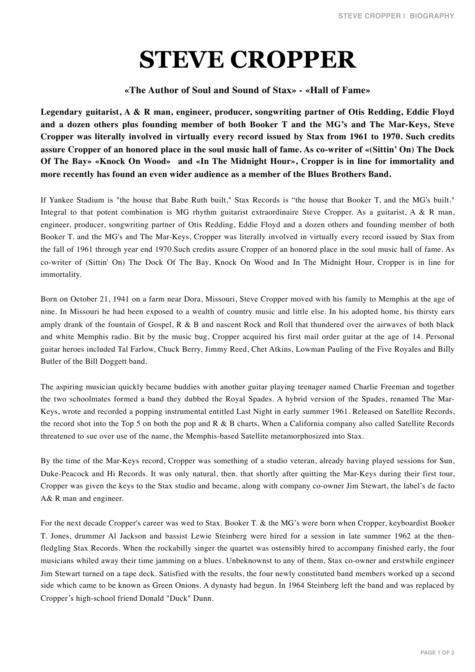## **STEVE CROPPER**

## **«The Author of Soul and Sound of Stax» - «Hall of Fame»**

**Legendary guitarist, A & R man, engineer, producer, songwriting partner of Otis Redding, Eddie Floyd and a dozen others plus founding member of both Booker T and the MG's and The Mar-Keys, Steve Cropper was literally involved in virtually every record issued by Stax from 1961 to 1970. Such credits assure Cropper of an honored place in the soul music hall of fame. As co-writer of «(Sittin' On) The Dock Of The Bay» «Knock On Wood» and «In The Midnight Hour», Cropper is in line for immortality and more recently has found an even wider audience as a member of the Blues Brothers Band.**

If Yankee Stadium is "the house that Babe Ruth built," Stax Records is "the house that Booker T, and the MG's built." Integral to that potent combination is MG rhythm guitarist extraordinaire Steve Cropper. As a guitarist, A & R man, engineer, producer, songwriting partner of Otis Redding, Eddie Floyd and a dozen others and founding member of both Booker T. and the MG's and The Mar-Keys, Cropper was literally involved in virtually every record issued by Stax from the fall of 1961 through year end 1970.Such credits assure Cropper of an honored place in the soul music hall of fame. As co-writer of (Sittin' On) The Dock Of The Bay, Knock On Wood and In The Midnight Hour, Cropper is in line for immortality.

Born on October 21, 1941 on a farm near Dora, Missouri, Steve Cropper moved with his family to Memphis at the age of nine. In Missouri he had been exposed to a wealth of country music and little else. In his adopted home, his thirsty ears amply drank of the fountain of Gospel,  $R \& B$  and nascent Rock and Roll that thundered over the airwaves of both black and white Memphis radio. Bit by the music bug, Cropper acquired his first mail order guitar at the age of 14. Personal guitar heroes included Tal Farlow, Chuck Berry, Jimmy Reed, Chet Atkins, Lowman Pauling of the Five Royales and Billy Butler of the Bill Doggett band.

The aspiring musician quickly became buddies with another guitar playing teenager named Charlie Freeman and together the two schoolmates formed a band they dubbed the Royal Spades. A hybrid version of the Spades, renamed The Mar-Keys, wrote and recorded a popping instrumental entitled Last Night in early summer 1961. Released on Satellite Records, the record shot into the Top 5 on both the pop and R & B charts, When a California company also called Satellite Records threatened to sue over use of the name, the Memphis-based Satellite metamorphosized into Stax.

By the time of the Mar-Keys record, Cropper was something of a studio veteran, already having played sessions for Sun, Duke-Peacock and Hi Records. It was only natural, then. that shortly after quitting the Mar-Keys during their first tour, Cropper was given the keys to the Stax studio and became, along with company co-owner Jim Stewart, the label's de facto A& R man and engineer.

For the next decade Cropper's career was wed to Stax. Booker T. & the MG's were born when Cropper, keyboardist Booker T. Jones, drummer Al Jackson and bassist Lewie Steinberg were hired for a session in late summer 1962 at the thenfledgling Stax Records. When the rockabilly singer the quartet was ostensibly hired to accompany finished early, the four musicians whiled away their time jamming on a blues. Unbeknownst to any of them, Stax co-owner and erstwhile engineer Jim Stewart turned on a tape deck. Satisfied with the results, the four newly constituted band members worked up a second side which came to be known as Green Onions. A dynasty had begun. In 1964 Steinberg left the band and was replaced by Cropper's high-school friend Donald "Duck" Dunn.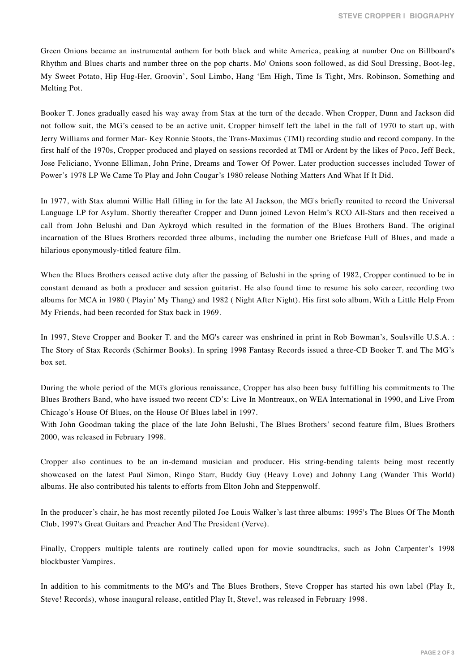Green Onions became an instrumental anthem for both black and white America, peaking at number One on Billboard's Rhythm and Blues charts and number three on the pop charts. Mo' Onions soon followed, as did Soul Dressing, Boot-leg, My Sweet Potato, Hip Hug-Her, Groovin', Soul Limbo, Hang 'Em High, Time Is Tight, Mrs. Robinson, Something and Melting Pot.

Booker T. Jones gradually eased his way away from Stax at the turn of the decade. When Cropper, Dunn and Jackson did not follow suit, the MG's ceased to be an active unit. Cropper himself left the label in the fall of 1970 to start up, with Jerry Williams and former Mar- Key Ronnie Stoots, the Trans-Maximus (TMI) recording studio and record company. In the first half of the 1970s, Cropper produced and played on sessions recorded at TMI or Ardent by the likes of Poco, Jeff Beck, Jose Feliciano, Yvonne Elliman, John Prine, Dreams and Tower Of Power. Later production successes included Tower of Power's 1978 LP We Came To Play and John Cougar's 1980 release Nothing Matters And What If It Did.

In 1977, with Stax alumni Willie Hall filling in for the late Al Jackson, the MG's briefly reunited to record the Universal Language LP for Asylum. Shortly thereafter Cropper and Dunn joined Levon Helm's RCO All-Stars and then received a call from John Belushi and Dan Aykroyd which resulted in the formation of the Blues Brothers Band. The original incarnation of the Blues Brothers recorded three albums, including the number one Briefcase Full of Blues, and made a hilarious eponymously-titled feature film.

When the Blues Brothers ceased active duty after the passing of Belushi in the spring of 1982, Cropper continued to be in constant demand as both a producer and session guitarist. He also found time to resume his solo career, recording two albums for MCA in 1980 ( Playin' My Thang) and 1982 ( Night After Night). His first solo album, With a Little Help From My Friends, had been recorded for Stax back in 1969.

In 1997, Steve Cropper and Booker T. and the MG's career was enshrined in print in Rob Bowman's, Soulsville U.S.A. : The Story of Stax Records (Schirmer Books). In spring 1998 Fantasy Records issued a three-CD Booker T. and The MG's box set.

During the whole period of the MG's glorious renaissance, Cropper has also been busy fulfilling his commitments to The Blues Brothers Band, who have issued two recent CD's: Live In Montreaux, on WEA International in 1990, and Live From Chicago's House Of Blues, on the House Of Blues label in 1997.

With John Goodman taking the place of the late John Belushi, The Blues Brothers' second feature film, Blues Brothers 2000, was released in February 1998.

Cropper also continues to be an in-demand musician and producer. His string-bending talents being most recently showcased on the latest Paul Simon, Ringo Starr, Buddy Guy (Heavy Love) and Johnny Lang (Wander This World) albums. He also contributed his talents to efforts from Elton John and Steppenwolf.

In the producer's chair, he has most recently piloted Joe Louis Walker's last three albums: 1995's The Blues Of The Month Club, 1997's Great Guitars and Preacher And The President (Verve).

Finally, Croppers multiple talents are routinely called upon for movie soundtracks, such as John Carpenter's 1998 blockbuster Vampires.

In addition to his commitments to the MG's and The Blues Brothers, Steve Cropper has started his own label (Play It, Steve! Records), whose inaugural release, entitled Play It, Steve!, was released in February 1998.